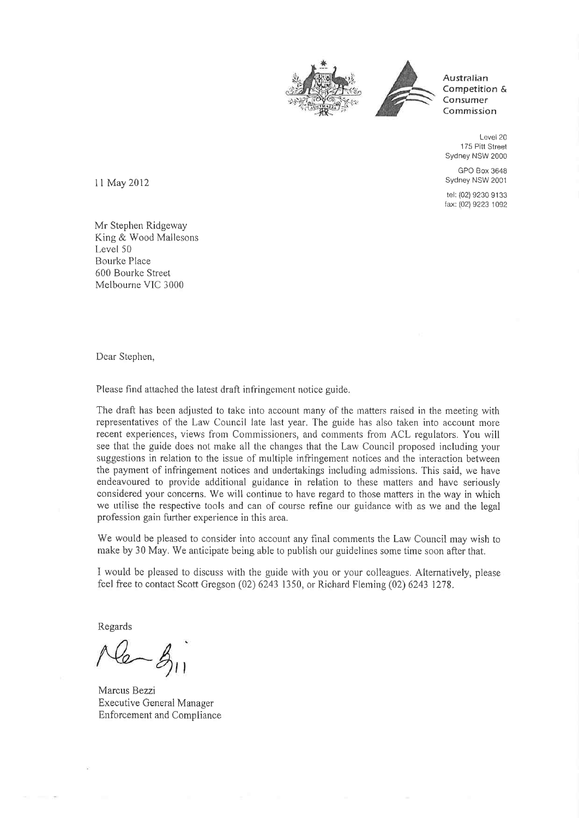



Australian Competition & Consumer Commission

Level 20 175 Pitt Street Sydney NSW 2000

GPO Box 3648 Sydney NSW 2001

tel: (02) 9230 91 33 fax: (02) 9223 1092

I I May 2012

Mr Stephen Ridgeway King & Wood Mallesons Level 50 Bourke Place 600 Bourke Street Melbourne VIC 3000

Dear Stephen,

Please find attached the latest draft infringement notice guide.

The draft has been adjusted to take into account many of the matters raised in the meeting with representatives of the Law Council late last year. The guide has also taken into account more recent experiences, views from Commissioners, and comments from ACL regulators. You will see that the guide does not make all the changes that the Law Council proposed including your suggestions in relation to the issue of multiple infringement notices and the interaction between the payment of infringement notices and undertakings including admissions. This said, we have endeavoured to provide additional guidance in relation to these matters and have seriously considered your concerns. We will continue to have regard to those matters in the way in which we utilise the respective tools and can of course refine our guidance with as we and the legal profession gain further experience in this area.

We would be pleased to consider into account any final comments the Law Council may wish to make by 30 May. We anticipate being able to publish our guidelines some time soon after that.

I would be pleased to discuss with the guide with you or your colleagues. Alternatively, please feef free to contact Scott Gregson (02) 6243 1350, or Richard Fleming (02) 6243 1278.

Regards

Marcus Bezzi Executive General Manager Enforcement and Compliance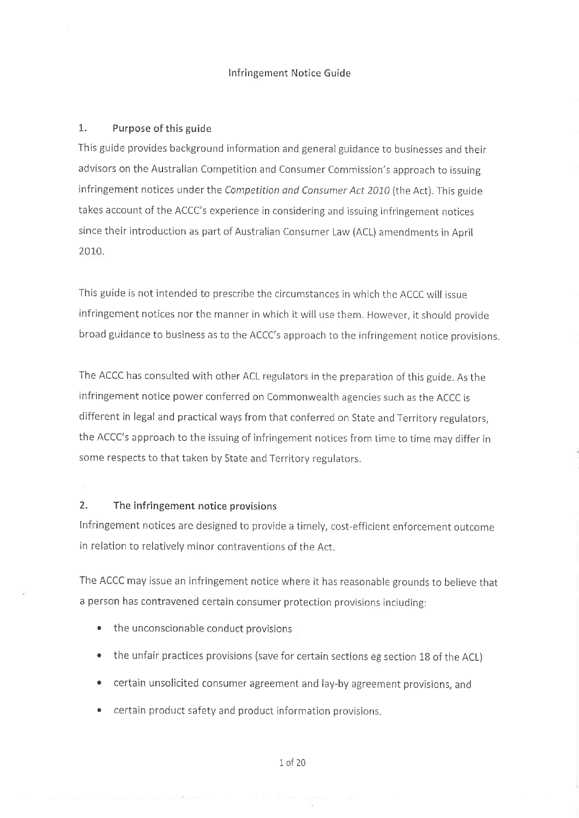#### Infringement Notice Guide

### 1. Purpose of this guide

This guide provides background information and general guídance to busínesses and their advisors on the Australian Competition and Consumer Commission's approach to issuing infringement notices under the Competition and Consumer Act 2010 (the Act). This guide takes account of the ACCC's experience ìn considering and issuing infringement notices since their introduction as part of Australian Consumer Law (ACL) amendments in April 2010.

This guide is not intended to prescribe the circumstances in which the ACCC will issue infringement notices nor the manner in which it will use them. However, it should provide broad guidance to business as to the ACCC's approach to the infringement notice provisions.

The ACCC has consulted with other ACL regulators in the preparation of this guide. As the infringement notice power conferred on Commonwealth agencies such as the ACCC is different in legal and practical ways from that conferred on State and Territory regulators, the ACCC's approach to the issuing of infringement notices from time to time mav differ in some respects to that taken by State and Territory regulators.

## 2. The infringement notice provisions

lnfringement notices are designed to provide a timely, cost-efficient enforcement outcome in relation to relativelv minor contraventions of the Act.

The ACCC may íssue an infringement notice where it has reasonable grounds to believe that a person has contravened certain consumer protection provisions including:

- the unconscionable conduct provisions
- the unfair practices provisions (save for certain sections eg section 18 of the ACL)
- o certain unsolicited consumer agreement and lay-by agreement provisions, and
- certain product safety and product information provisions.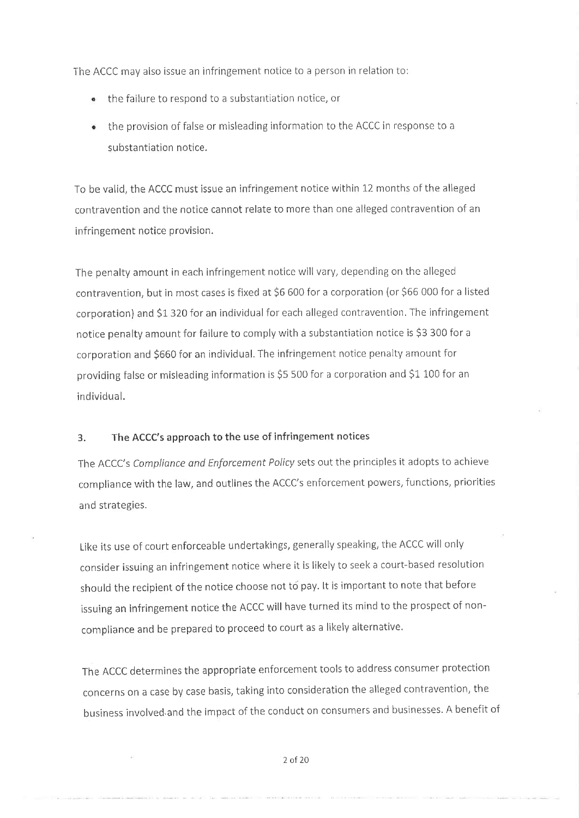The ACCC may also issue an infringement notice to a person in relation to:

- the failure to respond to a substantiation notice, or
- the provision of false or mìsleading information to the ACCC in response to <sup>a</sup> substantiation notice.

To be valid, the ACCC must issue an infringement notice within L2 months of the alleged contravention and the notice cannot relate to more than one alleged contravention of an infringement notice provision.

The penalty amount in each infringement notice will vary, depending on the alleged contravention, but in most cases is fixed at \$6 600 for a corporation (or \$66 000 for a listed corporation) and \$1 320 for an individual for each alleged contravention. The infringement notice penalty amount for failure to comply with a substantiation notice is \$3 300 for a corporation and \$660 for an individual. The infringement notice penalty amount for providing false or misleading information is \$5 500 for a corporation and \$1 100 for an individual.

#### 3. The ACCC's approach to the use of infringement notices

The ACCC's Compliance and Enforcement Policy sets out the principles it adopts to achieve compliance with the law, and outlines the ACCC's enforcement powers, functions, priorities and strategies.

Like its use of court enforceable undertakings, generally speaking, the ACCC will only consider issuing an infringement notice where it is likely to seek a court-based resolution should the recipient of the notice choose not to pay. It is important to note that before issuing an infringement notice the ACCC will have turned its mind to the prospect of noncompliance and be prepared to proceed to court as a likely alternative.

The ACCC determìnes the appropriate enforcement tools to address consumer protection concerns on a case by case basis, taking into consideration the alleged contravention, the business ìnvolved,and the impact of the conduct on consumers and businesses. A benefit of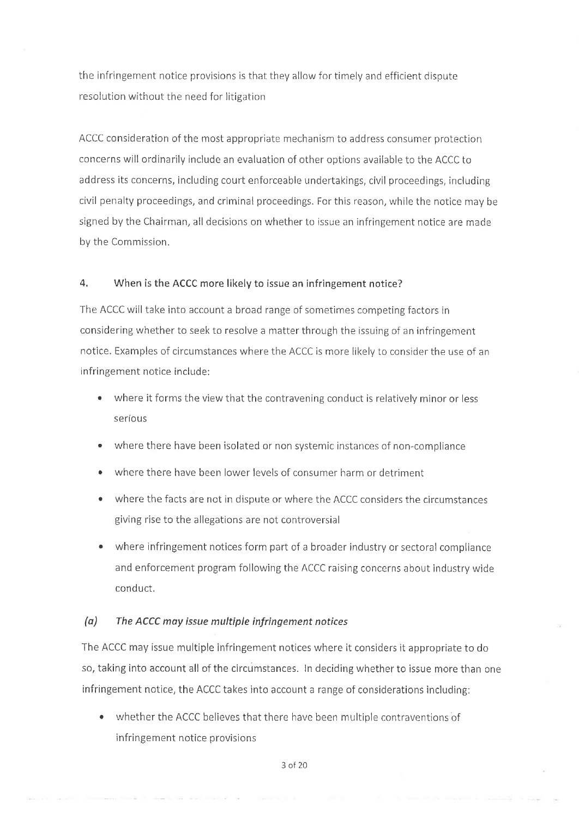the infringement notice provisions is that they allow for timely and efficient dispute resolution wíthout the need for litigation

ACCC consideration of the most appropriate mechanism to address consumer protection concerns will ordinarily include an evaluation of other options available to the ACCC to address its concerns, including court enforceable undertakings, civil proceedings, including civil penalty proceedings, and criminal proceedings. Forthis reason, while the notìce may be signed by the Chairman, all decisions on whether to issue an infringement notice are made by the Commission.

#### 4, When is the ACCC more likely to issue an infringement notice?

The ACCC will take into account a broad range of sometimes competing factors in considering whether to seek to resolve a matter through the issuing of an infringement notice. Examples of circumstances where the ACCC is more likely to consider the use of an infringement notice include:

- where it forms the view that the contravening conduct is relatively minor or less serious
- where there have been isolated or non systemic instances of non-compliance
- where there have been lower levels of consumer harm or detriment
- where the facts are not in dispute or where the ACCC considers the circumstances giving rise to the allegations are not controversial
- . where infringement notices form part of a broader industry or sectoral compliance and enforcement program following the ACCC raising concerns about industry wide conduct.

#### (a) The ACCC may issue multiple infringement notices

The ACCC may issue multiple infringement notices where it consìders it appropriate to do so, taking into account all of the circumstances. In deciding whether to issue more than one infringement notice, the ACCC takes into account a range of considerations including:

whether the ACCC believes that there have been multiple contraventions of infringement notice provisions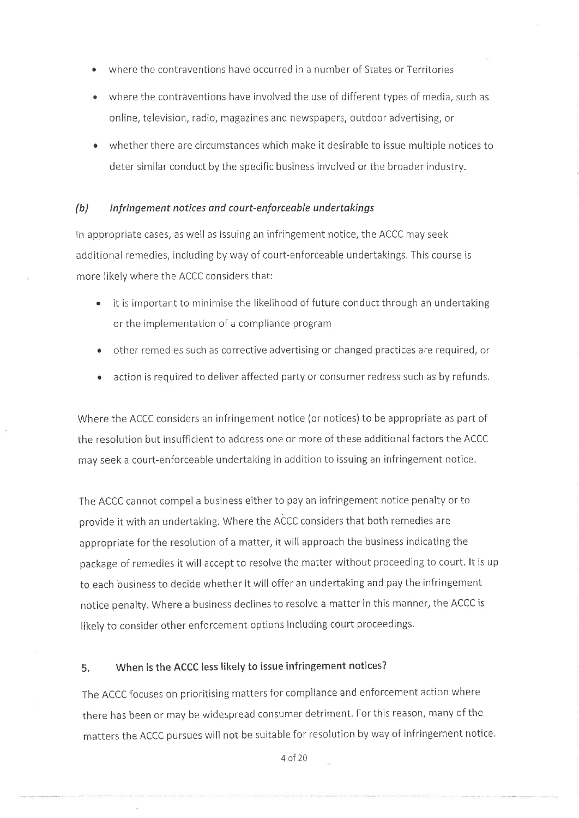- where the contraventions have occurred in a number of States or Territories
- where the contraventions have involved the use of different types of media, such as online, television, radio, magazines and newspapers, outdoor advertising, or
- whether there are circumstances which make it desirable to issue multiple notices to deter similar conduct by the specific business involved or the broader industry.

#### (b) Infringement notices and court-enforceable undertakings

In appropriate cases, as well as issuing an infringement notice, the ACCC may seek additional remedies, includìng by way of court-enforceable undertakings, This course is more likely where the ACCC considers that:

- . it is important to minimise the likelihood of future conduct through an undertaking or the implementation of a compliance program
- other remedies such as corrective advertising or changed practices are required, or  $\bullet$
- action is required to deliver affected party or consumer redress such as by refunds.  $\bullet$

Where the ACCC considers an infringement notice (or notices) to be appropriate as part of the resolution but insufficient to address one or more of these additional factors the ACCC may seek a court-enforceable undertaking in addition to issuing an infringement notìce.

The ACCC cannot compel a business either to pay an infringement notice penalty or to provide it with an undertaking. Where the ACCC considers that both remedies are appropriate for the resolution of a matter, it will approach the business indicating the package of remedies it will accept to resolve the matter without proceeding to court, lt is up to each business to decide whether it willoffer an undertaking and pay the infringement notice penalty. Where a business declines to resolve a matter in this manner, the ACCC is likely to consider other enforcement options including court proceedings.

## 5, When is the ACCC less likely to issue infringement notices?

The ACCC focuses on prioritising matters for compliance and enforcement action where there has been or mav be widespread consumer detriment. Forthis reason, many of the matters the ACCC pursues will not be suitable for resolution by way of infringement notice.

4o120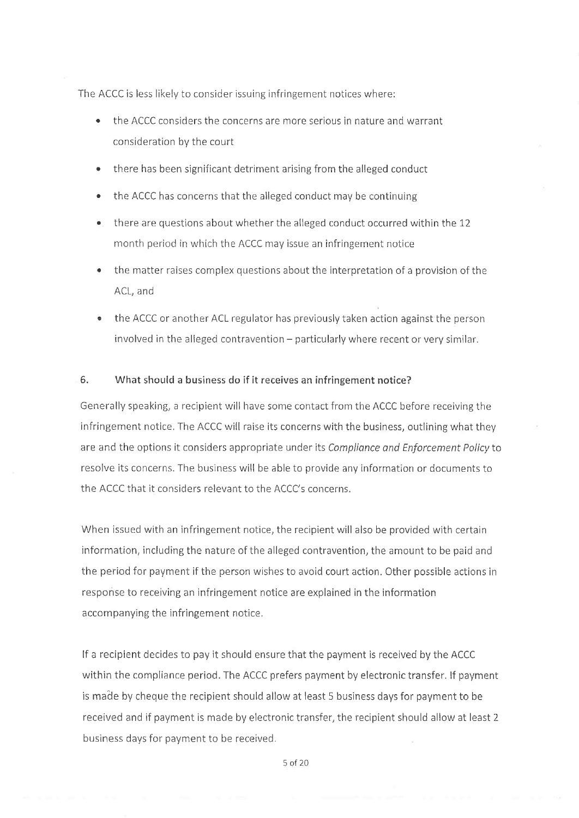The ACCC is less likely to consider issuing infringement notices where:

- the ACCC considers the concerns are more serious in nature and warrant consideration bv the court
- $\bullet$  there has been significant detriment arising from the alleged conduct
- the ACCC has concerns that the alleged conduct may be continuing
- . there are questions about whether the alleged conduct occurred within the <sup>12</sup> month period in which the ACCC may issue an infringement notice
- the matter raises complex questions about the interpretation of a provision of the ACL, and
- the ACCC or another ACL regulator has previously taken action against the person involved in the alleged contravention - particularly where recent or very similar.

#### 6. What should a business do if it receives an infringement notice?

Generally speaking, a recipient will have some contact from the ACCC before receiving the infringement notice, The ACCC will raise its concerns with the business, outlining what they are and the options it considers appropriate under its Compliance and Enforcement Policyto resolve its concerns. The business will be able to provide any information or documents to the ACCC that it considers relevant to the ACCC's concerns.

When issued with an infringement notice, the recipient will also be provided with certain information, including the nature of the alleged contravention, the amount to be paid and the period for payment if the person wishes to avoid court action. Other possible actions in response to receiving an infringement notice are explained in the information accompanying the infringement notice.

lf a recipient decides to pay it should ensure that the payment is received by the ACCC within the compliance period. The ACCC prefers payment by electronic transfer. If payment is made by cheque the recipient should allow at least 5 business days for payment to be received and if payment is made by electronic transfer, the recipient should allow at least <sup>2</sup> business days for payment to be received.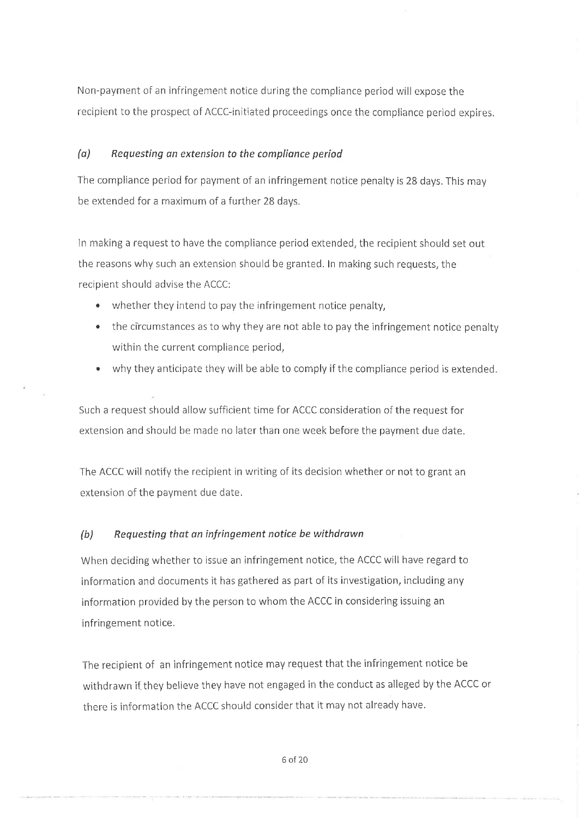Non-payment of an infringement notice during the compliance period will expose the recipient to the prospect of ACCC-initiated proceedings once the compliance period expires.

## (a) Requesting an extension to the compliance períod

The compliance period for payment of an infringement notice penalty is 28 days. This may be extended for a maximum of a further 28 days.

In making a request to have the compliance period extended, the recipient should set out the reasons why such an extension should be granted. In making such requests, the recipient should advise the ACCC:

- $\bullet$  whether they intend to pay the infringement notice penalty,
- $\bullet$  the circumstances as to why they are not able to pay the infringement notice penalty within the current compliance period,
- why they anticipate they will be able to comply if the compliance period is extended.

Such a request should allow sufficient time for ACCC consideration of the request for extension and should be made no later than one week before the payment due date.

The ACCC will notify the recipient in writing of its decision whether or not to grant an extension of the pavment due date.

#### (b) Requesting that an ínfringement notice be withdrøwn

When deciding whether to issue an infringement notice, the ACCC will have regard to information and documents it has gathered as part of its investigation, including any information provided by the person to whom the ACCC in considerìng issuing an infringement notice.

The recipient of an infringement notice may request that the infringement notice be withdrawn if they believe they have not engaged in the conduct as alleged by the ACCC or there is information the ACCC should consider that it may not already have.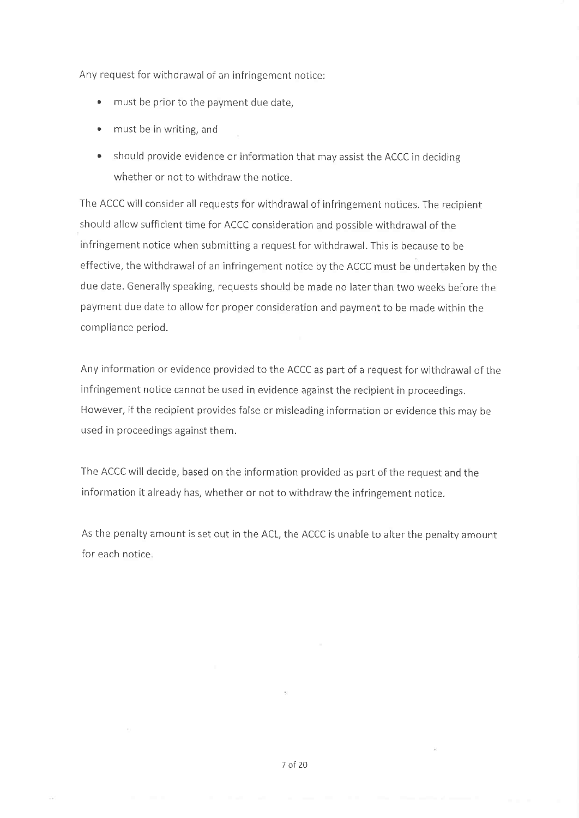Any request for withdrawal of an infringement notice:

- must be prior to the payment due date,
- must be in writing, and
- . should provide evidence or information that may assìst the ACCC in deciding whether or not to withdraw the notice.

The ACCC will consider all requests for withdrawal of infrìngement notices. The recipient should allow sufficient time for ACCC consideration and possible withdrawal of the infringement notice when submitting a request for withdrawal. This is because to be effective, the withdrawal of an ìnfringement notice by the ACCC must be undertaken by the due date, Generally speaking, requests should be made no laterthan two weeks before the payment due date to allow for proper consideration and payment to be made within the cornpliance period.

Any information or evidence provided to the ACCC as part of a request for withdrawal of the infringement notice cannot be used in evidence against the recipient in proceedings. However, if the recipient provides false or misleading information or evidence this may be used in proceedings against them.

The ACCC will decide, based on the information provided as part of the request and the information it already has, whether or not to withdraw the ínfringement notice.

As the penalty amount is set out in the ACL, the ACCC is unable to alter the penalty amount for each notice.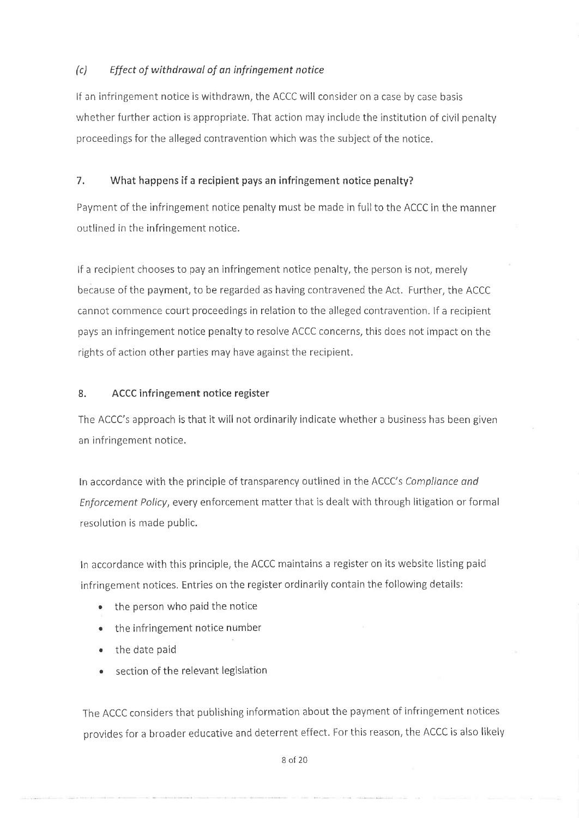## (c) Effect of withdrawal of an infringement notice

lf an infringement notice is withdrawn, the ACCC will consider on a case by case basis whether further action is appropriate. That action may Include the institution of civil penalty proceedings for the alleged contraventlon which was the subject of the notice.

## 7. What happens if a recipient pays an infríngement notice penalty?

Payment of the infringement notice penalty must be made in fullto the ACCC in the manner outlined in the infringement notice.

lf a recipient chooses to pay an infringement notice penalty, the person is not, merely because of the payment, to be regarded as having contravened the Act. Further, the ACCC cannot commence court proceedings in relation to the alleged contravention. lf a recipient pays an infringement notice penaltyto resolve ACCC concerns, this does not impact on the rights of action other parties may have against the recipient.

## 8. ACCC infringement notice register

The ACCC's approach is that it will not ordinarily indicate whether a business has been given an infrìngement notice.

ln accordance with the principle of transparency outlined in the ACCC's Complionce ond Enforcement Policy, every enforcement matter that is dealt with through litigation or formal resolution is made public.

In accordance with this principle, the ACCC maintains a register on its website listing paid infringement notices. Entries on the register ordinarily contain the following details:

- the person who paid the notice
- $\bullet$  the infringement notice number
- the date paid
- section of the relevant legislation

The ACCC considers that publishing information about the payment of infringement notices provides for a broader educative and deterrent effect. For this reason, the ACCC is also likely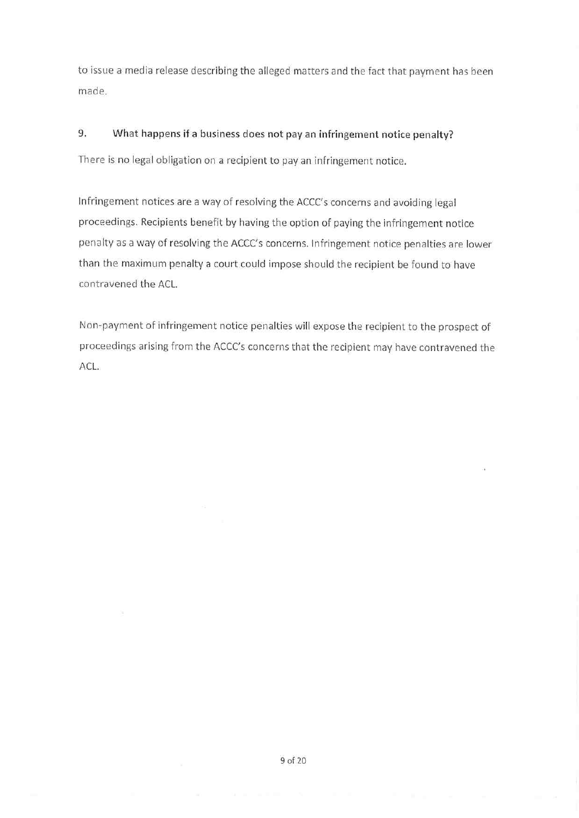to issue a media release describing the alleged matters and the fact that payment has been made.

#### 9. What happens if a business does not pay an infringement notice penalty?

There is no legal obligation on a recipient to pay an infringement notice.

Infringement notices are a way of resolving the ACCC's concerns and avoiding legal proceedings. Recipients benefit by having the option of paying the infringement notice penalty as a way of resolving the ACCC's concerns. Infringement notice penalties are lower than the maximum penalty a court could impose should the recipient be found to have contravened the ACL.

Non-payment of infringement notice penalties will expose the recipient to the prospect of proceedings arising from the ACCC's concerns that the recipient may have contravened the ACL.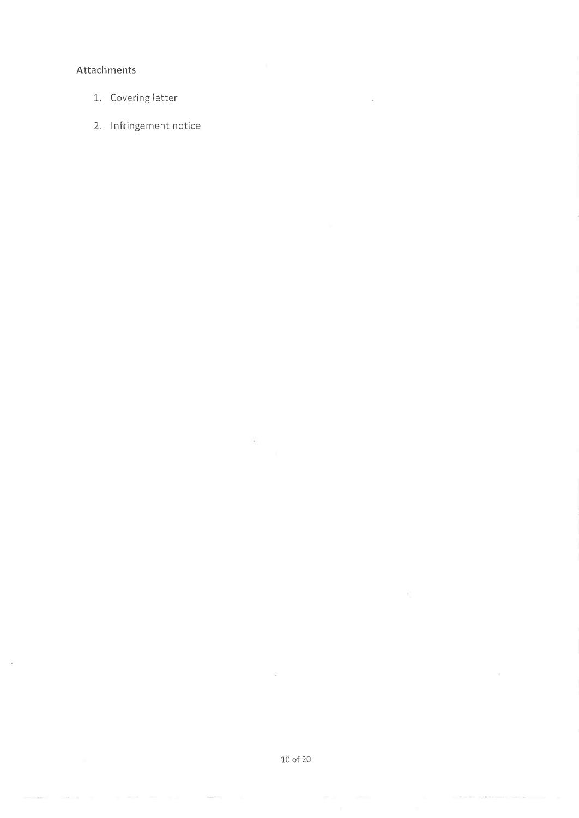## Attachments

- 1. Covering letter
- 2. Infringement notice

 $\langle \tilde{\sigma} \rangle$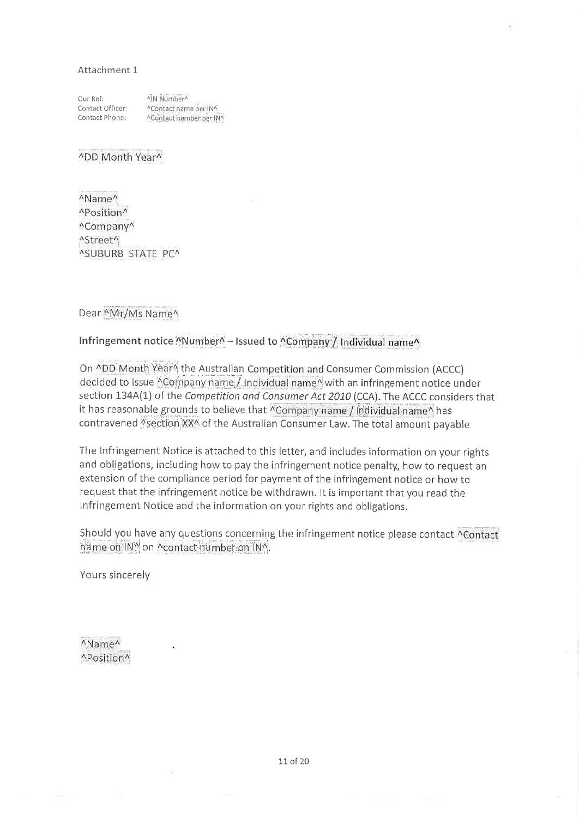#### Attachment 1

| Our Ref:         | ^IN Number^             |
|------------------|-------------------------|
| Contact Officer: | ^Contact name per IN^   |
| Contact Phone:   | ^Contact number per IN^ |

^DD Month Year^

^Name^ ^Position^ ^Company^ ^Street^ ^SUBURB STATE PC^

Dear <sup>\*</sup>Mr/Ms Name<sup>^</sup>

## Infringement notice "Number" - Issued to "Company" Individual name"

On ^DD Month Year^ the Australian Competition and Consumer Commission (ACCC) decided to issue ACompany name / Individual name with an infringement notice under section 134A(1) of the Competition and Consumer Act 2010 (CCA). The ACCC considers that it has reasonable grounds to believe that "Company name / individual name" has contravened Section XX<sup>A</sup> of the Australian Consumer Law. The total amount payable

The Infringement Notice is attached to this letter, and includes information on your rights and obligations, including how to pay the infringement notice penalty, how to request an extension of the compliance period for payment of the infringement notice or how to request that the infringement notice be withdrawn. It is important that you read the Infringement Notice and the information on your rights and obligations.

Should you have any questions concerning the infringement notice please contact ^Contact hame on INA on Acontact humber on INA.

Yours sincerely

^Name^ ^Position^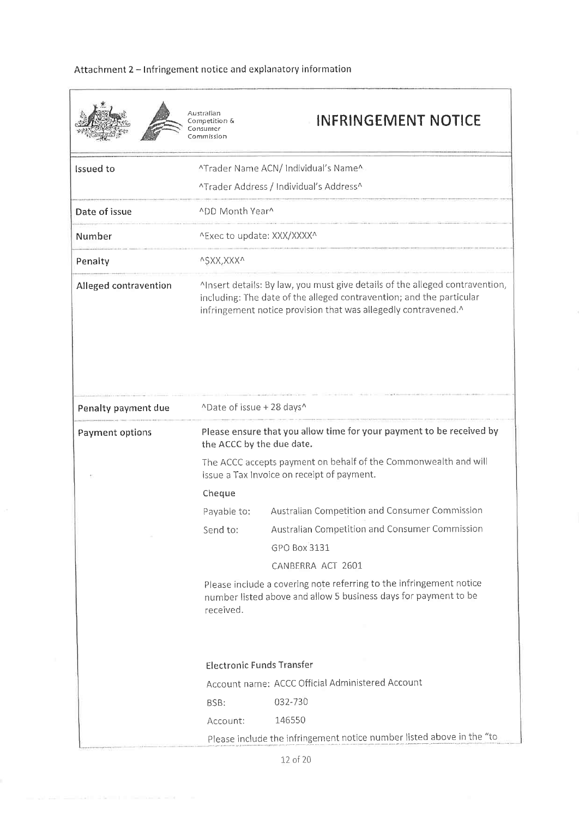## Attachment 2 - Infringement notice and explanatory information

|                       | Australian<br>Competition &<br>Consumer<br>Commission                                                                                                                                                                  | <b>INFRINGEMENT NOTICE</b>                                                                                                                                                                                                     |  |  |
|-----------------------|------------------------------------------------------------------------------------------------------------------------------------------------------------------------------------------------------------------------|--------------------------------------------------------------------------------------------------------------------------------------------------------------------------------------------------------------------------------|--|--|
| <b>Issued</b> to      |                                                                                                                                                                                                                        | ^Trader Name ACN/ Individual's Name^                                                                                                                                                                                           |  |  |
|                       |                                                                                                                                                                                                                        | ^Trader Address / Individual's Address^                                                                                                                                                                                        |  |  |
| Date of issue         | ^DD Month Year^                                                                                                                                                                                                        |                                                                                                                                                                                                                                |  |  |
| Number                | ^Exec to update: XXX/XXXX^                                                                                                                                                                                             |                                                                                                                                                                                                                                |  |  |
| Penalty               | ^\$XX,XXX^                                                                                                                                                                                                             |                                                                                                                                                                                                                                |  |  |
| Alleged contravention | Alnsert details: By law, you must give details of the alleged contravention,<br>including: The date of the alleged contravention; and the particular<br>infringement notice provision that was allegedly contravened.^ |                                                                                                                                                                                                                                |  |  |
| Penalty payment due   |                                                                                                                                                                                                                        | ^Date of issue + 28 days^                                                                                                                                                                                                      |  |  |
| Payment options       |                                                                                                                                                                                                                        | Please ensure that you allow time for your payment to be received by<br>the ACCC by the due date.<br>The ACCC accepts payment on behalf of the Commonwealth and will<br>issue a Tax Invoice on receipt of payment.             |  |  |
|                       |                                                                                                                                                                                                                        |                                                                                                                                                                                                                                |  |  |
|                       | Cheque                                                                                                                                                                                                                 |                                                                                                                                                                                                                                |  |  |
|                       | Payable to:                                                                                                                                                                                                            | Australian Competition and Consumer Commission                                                                                                                                                                                 |  |  |
|                       | Send to:                                                                                                                                                                                                               | Australian Competition and Consumer Commission                                                                                                                                                                                 |  |  |
|                       |                                                                                                                                                                                                                        | GPO Box 3131                                                                                                                                                                                                                   |  |  |
|                       |                                                                                                                                                                                                                        | CANBERRA ACT 2601                                                                                                                                                                                                              |  |  |
|                       | received.                                                                                                                                                                                                              | Please include a covering note referring to the infringement notice<br>number listed above and allow 5 business days for payment to be<br><b>Electronic Funds Transfer</b><br>Account name: ACCC Official Administered Account |  |  |
|                       |                                                                                                                                                                                                                        |                                                                                                                                                                                                                                |  |  |
|                       | BSB:                                                                                                                                                                                                                   | 032-730                                                                                                                                                                                                                        |  |  |
|                       | Account:                                                                                                                                                                                                               | 146550                                                                                                                                                                                                                         |  |  |
|                       |                                                                                                                                                                                                                        |                                                                                                                                                                                                                                |  |  |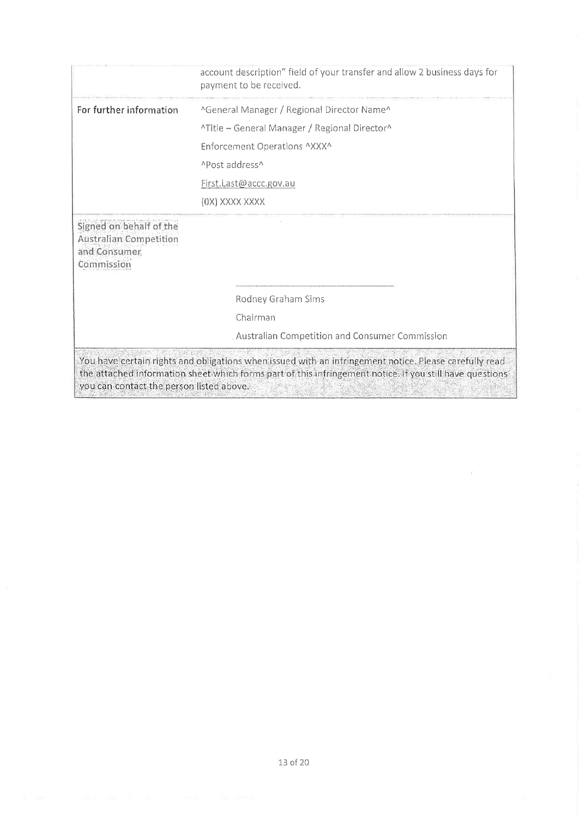|                                                                                        | account description" field of your transfer and allow 2 business days for<br>payment to be received.                                                                                                               |  |
|----------------------------------------------------------------------------------------|--------------------------------------------------------------------------------------------------------------------------------------------------------------------------------------------------------------------|--|
| For further information                                                                | ^General Manager / Regional Director Name^                                                                                                                                                                         |  |
|                                                                                        | ^Title - General Manager / Regional Director^                                                                                                                                                                      |  |
|                                                                                        | Enforcement Operations ^XXX^                                                                                                                                                                                       |  |
|                                                                                        | ^Post address^                                                                                                                                                                                                     |  |
|                                                                                        | First.Last@accc.gov.au                                                                                                                                                                                             |  |
|                                                                                        | (OX) XXXX XXXX                                                                                                                                                                                                     |  |
| Signed on behalf of the<br><b>Australian Competition</b><br>and Consumer<br>Commission |                                                                                                                                                                                                                    |  |
|                                                                                        | Rodney Graham Sims                                                                                                                                                                                                 |  |
|                                                                                        | Chairman                                                                                                                                                                                                           |  |
|                                                                                        | Australian Competition and Consumer Commission                                                                                                                                                                     |  |
| you can contact the person listed above.                                               | You have certain rights and obligations when issued with an infringement notice. Please carefully read<br>the attached information sheet which forms part of this infringement notice. If you still have questions |  |

 $\sim$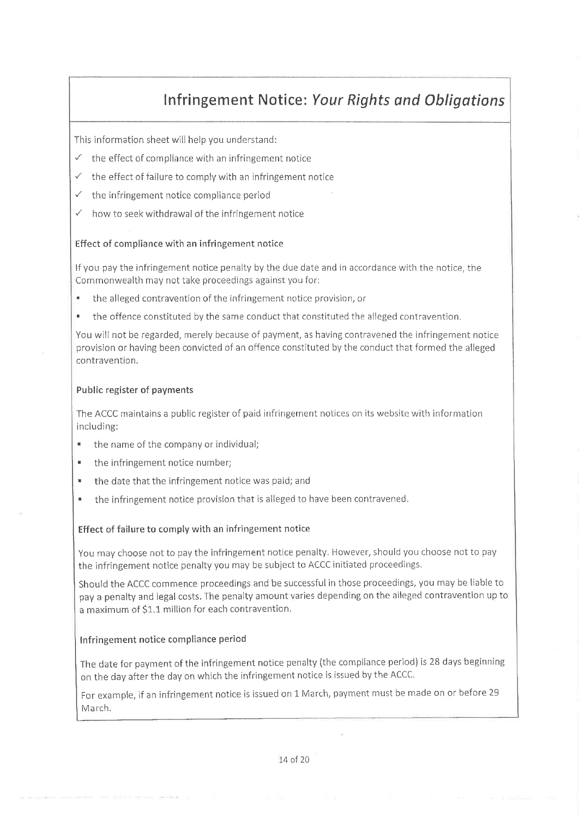## Infringement Notice: Your Rights and Obligations

This information sheet will help you understand:

- $\checkmark$  the effect of compliance with an infringement notice
- $\checkmark$  the effect of failure to comply with an infringement notice
- $\checkmark$  the infringement notice compliance period
- $\checkmark$  how to seek withdrawal of the infringement notice

#### Effect of compliance with an infringement notice

If you pay the infringement notice penalty by the due date and in accordance with the notice, the Commonwealth may not take proceedings against you for:

- the alleged contravention of the infringement notice provision, or
- . the offence constituted by the same conduct that constituted the alleged contravention.

You will not be regarded, merely because of payment, as having contravened the infringement notice provision or having been convicted of an offence constituted by the conduct that formed the alleged contravention.

#### Public register of payments

The ACCC maintains a public register of paid infringement notices on its website with information including:

- \* the name of the company or individual;
- **.** the infringement notice number;
- the date that the infringement notice was paid; and
- the infringement notice provision that is alleged to have been contravened.

### Effect of failure to comply with an infrìngement notice

You may choose not to pay the infringement notice penalty. However, should you choose not to pay the infringement notice penalty you may be subject to ACCC initiated proceedings.

Should the ACCC commence proceedings and be successful in those proceedings, you may be liable to pay a penalty and legal costs. The penalty amount varies depending on the alleged contravention up to a maximum of \$1.1 million for each contravention.

#### Infringement notice compliance period

The date for payment of the infringement notice penalty (the compliance period) is 28 days beginning on the day after the day on which the infringement notice is issued by the ACCC.

For example, if an infringement notice is issued on 1 March, payment must be made on or before <sup>29</sup> March.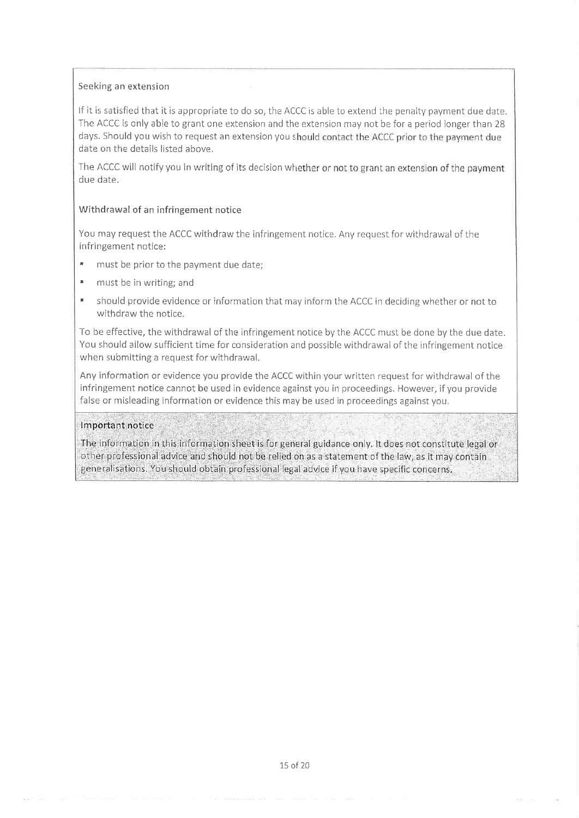#### Seeking an extension

lf it is satisfied that it is appropriate to do so, the ACCC is able to extend the penalty paynrent due date. The ACCC is only able to grant one extension and the extension may not be for a period longer than 28 days. Should you wish to request an extension you should contact the ACCC prior to the payment due date on the details listed above.

The ACCC will notify you in writing of its decision whether or not to grant an extension of the payment due date.

#### Withdrawal of an ínfringement notice

You may request the ACCC withdraw the infringement notice. Any request for withdrawal of the infringement notice:

- " must be prior to the payment due date;
- **\*** must be in writing; and
- ' should provide evidence or information that may inform the ACCC in deciding whether or not to withdraw the notice.

To be effective, the withdrawal of the infringement notice by the ACCC must be done by the due date. You should allow sufficient time for consideration and possible withdrawal of the infringement notice when submitting a request for withdrawal.

Any information or evidence you provide the ACCC within your written request for withdrawal of the infringement notice cannot be used in evidence against you in proceedings. However, if you provide false or misleading information or evidence this may be used in proceedings against you.

#### Important notice

The information in this information sheet is for general guidance only. It does not constitute legal or other professional advice and should not be relied on as a statement of the law, as it may contain generalisations. You should obtain professional legal advice if you have specific concerns.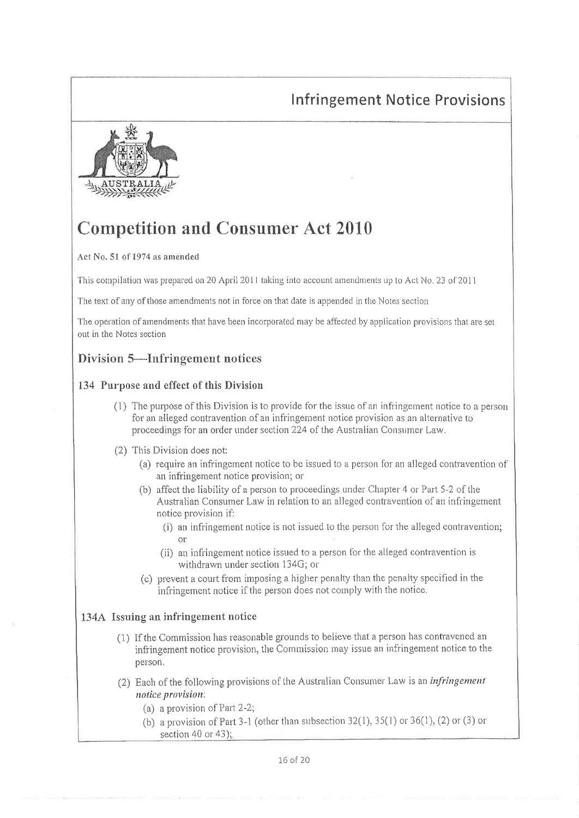## **Infringement Notice Provisions**



# **Competition and Consumer Act 2010**

Act No. 51 of 1974 as amended

This compilation was prepared on 20 April 2011 taking into account amendments up to Act No. 23 of 2011

The text of any of those amendments not in force on that date is appended in the Notes section

The operation of amendments that have been incorporated may be affected by application provisions that are set out in the Notes section

## Division 5—Infringement notices

## 134 Purpose and effect of this Division

- (1) The purpose of this Division is to provide for the issue of an infringement notice to a person for an alleged contravention of an infringement notice provision as an alternative to proceedings for an order under section 224 of the Australian Consumer Law.
- (2) This Division does not:
	- (a) require an infringement notice to be issued to a person for an alleged contravention of an infringement notice provision; or
	- (b) affect the liability of a person to proceedings under Chapter 4 or Part 5-2 of the Australian Consumer Law in relation to an alleged contravention of an infringement notice provision if:
		- (i) an infringement notice is not issued to the person for the alleged contravention;
		- (ii) an infringement notice issued to a person for the alleged contravention is withdrawn under section 134G; or
	- (c) prevent a court from imposing a higher penalty than the penalty specified in the infringement notice if the person does not comply with the notice.

## 134A Issuing an infringement notice

- (1) If the Commission has reasonable grounds to believe that a person has contravened an infringement notice provision, the Commission may issue an infringement notice to the person.
- (2) Each of the following provisions of the Australian Consumer Law is an *infringement* notice provision:
	- (a) a provision of Part 2-2;
	- (b) a provision of Part 3-1 (other than subsection 32(1), 35(1) or 36(1), (2) or (3) or section 40 or 43);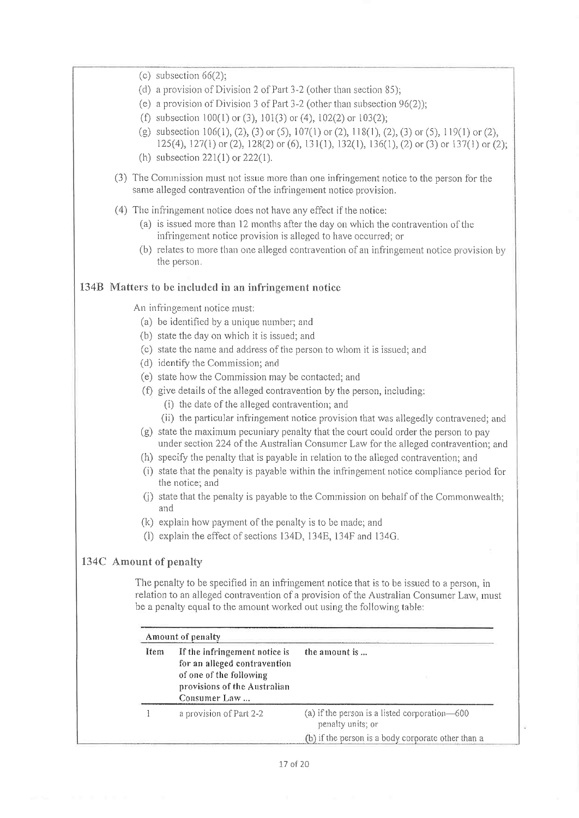| (c) subsection $66(2)$ ;                                                                                                                                                                                                                                         |                                                                                                                                                                                                                |  |
|------------------------------------------------------------------------------------------------------------------------------------------------------------------------------------------------------------------------------------------------------------------|----------------------------------------------------------------------------------------------------------------------------------------------------------------------------------------------------------------|--|
| (d) a provision of Division 2 of Part 3-2 (other than section 85);                                                                                                                                                                                               |                                                                                                                                                                                                                |  |
| (e) a provision of Division 3 of Part $3-2$ (other than subsection $96(2)$ );                                                                                                                                                                                    |                                                                                                                                                                                                                |  |
| (f) subsection $100(1)$ or (3), $101(3)$ or (4), $102(2)$ or $103(2)$ ;                                                                                                                                                                                          |                                                                                                                                                                                                                |  |
|                                                                                                                                                                                                                                                                  | (g) subsection 106(1), (2), (3) or (5), 107(1) or (2), 118(1), (2), (3) or (5), 119(1) or (2),<br>$125(4)$ , $127(1)$ or (2), $128(2)$ or (6), $131(1)$ , $132(1)$ , $136(1)$ , (2) or (3) or $137(1)$ or (2); |  |
| (h) subsection $221(1)$ or $222(1)$ .                                                                                                                                                                                                                            |                                                                                                                                                                                                                |  |
| (3) The Commission must not issue more than one infringement notice to the person for the<br>same alleged contravention of the infringement notice provision.                                                                                                    |                                                                                                                                                                                                                |  |
| (4) The infringement notice does not have any effect if the notice:<br>infringement notice provision is alleged to have occurred; or<br>the person.                                                                                                              | (a) is issued more than 12 months after the day on which the contravention of the<br>(b) relates to more than one alleged contravention of an infringement notice provision by                                 |  |
| 134B Matters to be included in an infringement notice                                                                                                                                                                                                            |                                                                                                                                                                                                                |  |
| An infringement notice must:                                                                                                                                                                                                                                     |                                                                                                                                                                                                                |  |
| (a) be identified by a unique number; and                                                                                                                                                                                                                        |                                                                                                                                                                                                                |  |
| (b) state the day on which it is issued; and                                                                                                                                                                                                                     |                                                                                                                                                                                                                |  |
| (c) state the name and address of the person to whom it is issued; and                                                                                                                                                                                           |                                                                                                                                                                                                                |  |
| (d) identify the Commission; and                                                                                                                                                                                                                                 |                                                                                                                                                                                                                |  |
| (e) state how the Commission may be contacted; and                                                                                                                                                                                                               |                                                                                                                                                                                                                |  |
| (f) give details of the alleged contravention by the person, including:<br>(i) the date of the alleged contravention; and                                                                                                                                        |                                                                                                                                                                                                                |  |
|                                                                                                                                                                                                                                                                  | (ii) the particular infringement notice provision that was allegedly contravened; and                                                                                                                          |  |
|                                                                                                                                                                                                                                                                  | (g) state the maximum pecuniary penalty that the court could order the person to pay                                                                                                                           |  |
|                                                                                                                                                                                                                                                                  | under section 224 of the Australian Consumer Law for the alleged contravention; and                                                                                                                            |  |
|                                                                                                                                                                                                                                                                  | (h) specify the penalty that is payable in relation to the alleged contravention; and                                                                                                                          |  |
| the notice; and                                                                                                                                                                                                                                                  | (i) state that the penalty is payable within the infringement notice compliance period for                                                                                                                     |  |
| and                                                                                                                                                                                                                                                              | (j) state that the penalty is payable to the Commission on behalf of the Commonwealth;                                                                                                                         |  |
| (k) explain how payment of the penalty is to be made; and                                                                                                                                                                                                        |                                                                                                                                                                                                                |  |
| explain the effect of sections 134D, 134E, 134F and 134G.<br>(1)                                                                                                                                                                                                 |                                                                                                                                                                                                                |  |
| 134C Amount of penalty                                                                                                                                                                                                                                           |                                                                                                                                                                                                                |  |
| The penalty to be specified in an infringement notice that is to be issued to a person, in<br>relation to an alleged contravention of a provision of the Australian Consumer Law, must<br>be a penalty equal to the amount worked out using the following table: |                                                                                                                                                                                                                |  |
| Amount of penalty                                                                                                                                                                                                                                                |                                                                                                                                                                                                                |  |
| Item<br>If the infringement notice is<br>for an alleged contravention<br>of one of the following                                                                                                                                                                 | the amount is                                                                                                                                                                                                  |  |
| provisions of the Australian<br>Consumer Law                                                                                                                                                                                                                     |                                                                                                                                                                                                                |  |
| 1<br>a provision of Part 2-2                                                                                                                                                                                                                                     | (a) if the person is a listed corporation-600<br>penalty units; or                                                                                                                                             |  |
|                                                                                                                                                                                                                                                                  | (b) if the person is a body corporate other than a                                                                                                                                                             |  |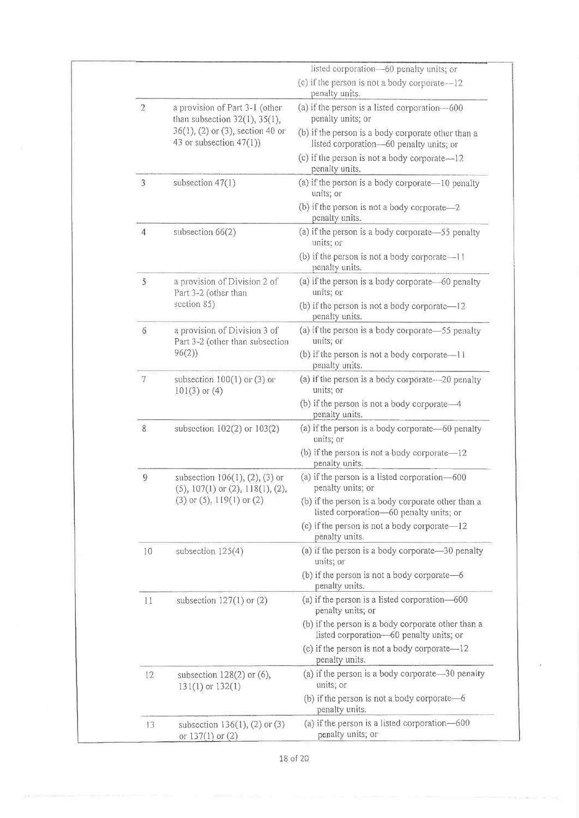|       |                                                                               | listed corporation-60 penalty units; or                                                       |
|-------|-------------------------------------------------------------------------------|-----------------------------------------------------------------------------------------------|
|       |                                                                               | (c) if the person is not a body corporate-12<br>penalty units.                                |
| $\,2$ | a provision of Part 3-1 (other<br>than subsection $32(1)$ , $35(1)$ ,         | (a) if the person is a listed corporation--600<br>penalty units; or                           |
|       | $36(1)$ , (2) or (3), section 40 or<br>43 or subsection $47(1)$ )             | (b) if the person is a body corporate other than a<br>listed corporation-60 penalty units; or |
|       |                                                                               | (c) if the person is not a body corporate—12<br>penalty units.                                |
| 3     | subsection $47(1)$                                                            | (a) if the person is a body corporate—10 penalty<br>units; or                                 |
|       |                                                                               | (b) if the person is not a body corporate-2<br>penalty units.                                 |
| 4     | subsection $66(2)$                                                            | (a) if the person is a body corporate-55 penalty<br>units; or                                 |
|       |                                                                               | (b) if the person is not a body corporate-11<br>penalty units.                                |
| 5     | a provision of Division 2 of<br>Part 3-2 (other than                          | (a) if the person is a body corporate—60 penalty<br>units; or                                 |
|       | section 85)                                                                   | (b) if the person is not a body corporate—12<br>penalty units.                                |
| 6     | a provision of Division 3 of<br>Part 3-2 (other than subsection               | (a) if the person is a body corporate—55 penalty<br>units; or                                 |
|       | 96(2)                                                                         | (b) if the person is not a body corporate—11<br>penalty units.                                |
| 7     | subsection $100(1)$ or (3) or<br>$101(3)$ or $(4)$                            | (a) if the person is a body corporate—20 penalty<br>units; or                                 |
|       |                                                                               | (b) if the person is not a body corporate-4<br>penalty units.                                 |
| 8     | subsection $102(2)$ or $103(2)$                                               | (a) if the person is a body corporate—60 penalty<br>units; or                                 |
|       |                                                                               | (b) if the person is not a body corporate-12<br>penalty units.                                |
| 9     | subsection $106(1)$ , $(2)$ , $(3)$ or<br>$(5)$ , 107(1) or (2), 118(1), (2), | (a) if the person is a listed corporation-600<br>penalty units; or                            |
|       | $(3)$ or $(5)$ , 119 $(1)$ or $(2)$                                           | (b) if the person is a body corporate other than a<br>listed corporation-60 penalty units; or |
|       |                                                                               | (c) if the person is not a body corporate—12<br>penalty units.                                |
| 10    | subsection $125(4)$                                                           | (a) if the person is a body corporate-30 penalty<br>units; or                                 |
|       |                                                                               | (b) if the person is not a body corporate-6<br>penalty units.                                 |
| 11    | subsection $127(1)$ or $(2)$                                                  | (a) if the person is a listed corporation-600<br>penalty units; or                            |
|       |                                                                               | (b) if the person is a body corporate other than a<br>listed corporation-60 penalty units; or |
|       |                                                                               | (c) if the person is not a body corporate—12<br>penalty units.                                |
| 12    | subsection $128(2)$ or $(6)$ ,<br>$131(1)$ or $132(1)$                        | (a) if the person is a body corporate—30 penalty<br>units; or                                 |
|       |                                                                               | (b) if the person is not a body corporate—6<br>penalty units.                                 |
| 13    | subsection $136(1)$ , (2) or (3)<br>or $137(1)$ or $(2)$                      | (a) if the person is a listed corporation-600<br>penalty units; or                            |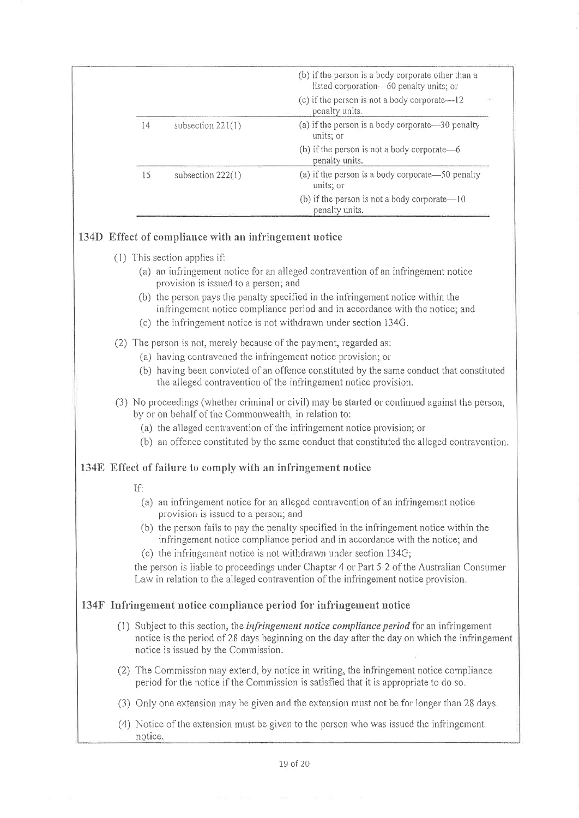|         |                                                              | (b) if the person is a body corporate other than a                                                                                                                                                                                  |
|---------|--------------------------------------------------------------|-------------------------------------------------------------------------------------------------------------------------------------------------------------------------------------------------------------------------------------|
|         |                                                              | listed corporation-60 penalty units; or                                                                                                                                                                                             |
|         |                                                              | (c) if the person is not a body corporate—12<br>penalty units.                                                                                                                                                                      |
| 14      | subsection $221(1)$                                          | (a) if the person is a body corporate—30 penalty<br>units; or                                                                                                                                                                       |
|         |                                                              | (b) if the person is not a body corporate-6<br>penalty units.                                                                                                                                                                       |
| 15      | subsection 222(1)                                            | (a) if the person is a body corporate—50 penalty<br>units; or                                                                                                                                                                       |
|         |                                                              | (b) if the person is not a body corporate-10<br>penalty units.                                                                                                                                                                      |
|         | 134D Effect of compliance with an infringement notice        |                                                                                                                                                                                                                                     |
|         | (1) This section applies if:                                 |                                                                                                                                                                                                                                     |
|         | provision is issued to a person; and                         | (a) an infringement notice for an alleged contravention of an infringement notice                                                                                                                                                   |
|         |                                                              | (b) the person pays the penalty specified in the infringement notice within the<br>infringement notice compliance period and in accordance with the notice; and<br>(c) the infringement notice is not withdrawn under section 134G. |
|         |                                                              | (2) The person is not, merely because of the payment, regarded as:                                                                                                                                                                  |
|         |                                                              | (a) having contravened the infringement notice provision; or                                                                                                                                                                        |
|         |                                                              | (b) having been convicted of an offence constituted by the same conduct that constituted<br>the alleged contravention of the infringement notice provision.                                                                         |
|         | by or on behalf of the Commonwealth, in relation to:         | (3) No proceedings (whether criminal or civil) may be started or continued against the person,                                                                                                                                      |
|         |                                                              | (a) the alleged contravention of the infringement notice provision; or                                                                                                                                                              |
|         |                                                              | (b) an offence constituted by the same conduct that constituted the alleged contravention.                                                                                                                                          |
|         | 134E Effect of failure to comply with an infringement notice |                                                                                                                                                                                                                                     |
| If:     |                                                              |                                                                                                                                                                                                                                     |
|         | provision is issued to a person; and                         | (a) an infringement notice for an alleged contravention of an infringement notice                                                                                                                                                   |
|         |                                                              | (b) the person fails to pay the penalty specified in the infringement notice within the<br>infringement notice compliance period and in accordance with the notice; and                                                             |
|         |                                                              | (c) the infringement notice is not withdrawn under section $134G$ ;                                                                                                                                                                 |
|         |                                                              | the person is liable to proceedings under Chapter 4 or Part 5-2 of the Australian Consumer<br>Law in relation to the alleged contravention of the infringement notice provision.                                                    |
|         |                                                              | 134F Infringement notice compliance period for infringement notice                                                                                                                                                                  |
|         | notice is issued by the Commission.                          | (1) Subject to this section, the <i>infringement notice compliance period</i> for an infringement<br>notice is the period of 28 days beginning on the day after the day on which the infringement                                   |
|         |                                                              | (2) The Commission may extend, by notice in writing, the infringement notice compliance<br>period for the notice if the Commission is satisfied that it is appropriate to do so.                                                    |
|         |                                                              | (3) Only one extension may be given and the extension must not be for longer than 28 days.                                                                                                                                          |
| notice. |                                                              | (4) Notice of the extension must be given to the person who was issued the infringement                                                                                                                                             |